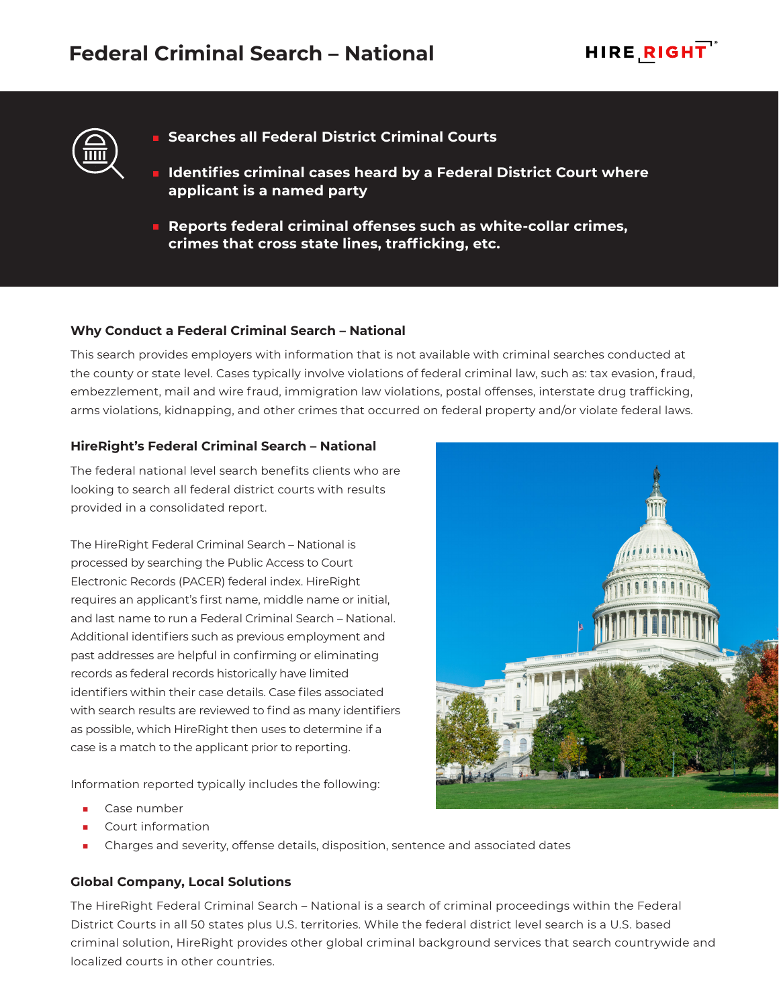



- **Searches all Federal District Criminal Courts**
- **Identifies criminal cases heard by a Federal District Court where applicant is a named party**
- **Reports federal criminal offenses such as white-collar crimes, crimes that cross state lines, trafficking, etc.**

### **Why Conduct a Federal Criminal Search – National**

This search provides employers with information that is not available with criminal searches conducted at the county or state level. Cases typically involve violations of federal criminal law, such as: tax evasion, fraud, embezzlement, mail and wire fraud, immigration law violations, postal offenses, interstate drug trafficking, arms violations, kidnapping, and other crimes that occurred on federal property and/or violate federal laws.

#### **HireRight's Federal Criminal Search – National**

The federal national level search benefits clients who are looking to search all federal district courts with results provided in a consolidated report.

The HireRight Federal Criminal Search – National is processed by searching the Public Access to Court Electronic Records (PACER) federal index. HireRight requires an applicant's first name, middle name or initial, and last name to run a Federal Criminal Search – National. Additional identifiers such as previous employment and past addresses are helpful in confirming or eliminating records as federal records historically have limited identifiers within their case details. Case files associated with search results are reviewed to find as many identifiers as possible, which HireRight then uses to determine if a case is a match to the applicant prior to reporting.

Information reported typically includes the following:

- Case number
- Court information
- Charges and severity, offense details, disposition, sentence and associated dates

# **Global Company, Local Solutions**

The HireRight Federal Criminal Search – National is a search of criminal proceedings within the Federal District Courts in all 50 states plus U.S. territories. While the federal district level search is a U.S. based criminal solution, HireRight provides other global criminal background services that search countrywide and localized courts in other countries.